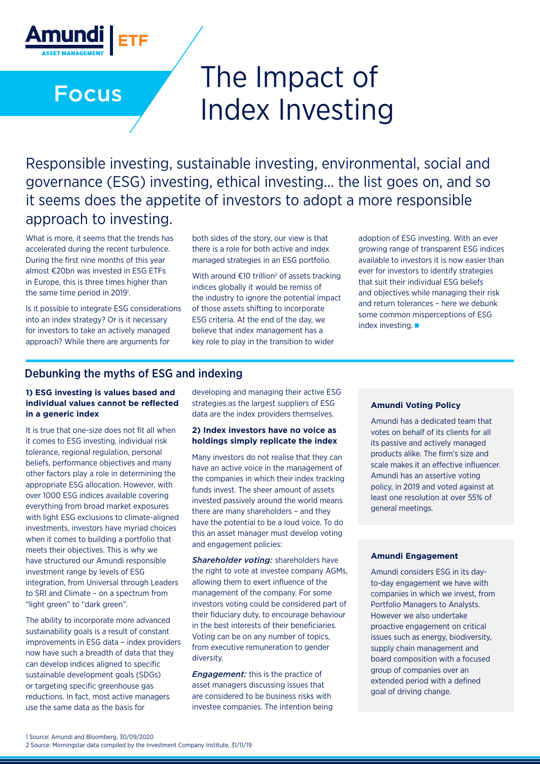# The Impact of Index Investing

Responsible investing, sustainable investing, environmental, social and governance (ESG) investing, ethical investing… the list goes on, and so it seems does the appetite of investors to adopt a more responsible approach to investing.

What is more, it seems that the trends has accelerated during the recent turbulence. During the first nine months of this year almost €20bn was invested in ESG ETFs in Europe, this is three times higher than the same time period in 2019<sup>1</sup>.

Focus

<u>Amundi</u>

Is it possible to integrate ESG considerations into an index strategy? Or is it necessary for investors to take an actively managed approach? While there are arguments for

both sides of the story, our view is that there is a role for both active and index managed strategies in an ESG portfolio.

With around  $\epsilon$ 10 trillion<sup>2</sup> of assets tracking indices globally it would be remiss of the industry to ignore the potential impact of those assets shifting to incorporate ESG criteria. At the end of the day, we believe that index management has a key role to play in the transition to wider

adoption of ESG investing. With an ever growing range of transparent ESG indices available to investors it is now easier than ever for investors to identify strategies that suit their individual ESG beliefs and objectives while managing their risk and return tolerances – here we debunk some common misperceptions of ESG index investing.

### Debunking the myths of ESG and indexing

#### **1) ESG investing is values based and individual values cannot be reflected in a generic index**

It is true that one-size does not fit all when it comes to ESG investing, individual risk tolerance, regional regulation, personal beliefs, performance objectives and many other factors play a role in determining the appropriate ESG allocation. However, with over 1000 ESG indices available covering everything from broad market exposures with light ESG exclusions to climate-aligned investments, investors have myriad choices when it comes to building a portfolio that meets their objectives. This is why we have structured our Amundi responsible investment range by levels of ESG integration, from Universal through Leaders to SRI and Climate – on a spectrum from "light green" to "dark green".

The ability to incorporate more advanced sustainability goals is a result of constant improvements in ESG data – index providers now have such a breadth of data that they can develop indices aligned to specific sustainable development goals (SDGs) or targeting specific greenhouse gas reductions. In fact, most active managers use the same data as the basis for

developing and managing their active ESG strategies as the largest suppliers of ESG data are the index providers themselves.

#### **2) Index investors have no voice as holdings simply replicate the index**

Many investors do not realise that they can have an active voice in the management of the companies in which their index tracking funds invest. The sheer amount of assets invested passively around the world means there are many shareholders – and they have the potential to be a loud voice. To do this an asset manager must develop voting and engagement policies:

*Shareholder voting:* shareholders have the right to vote at investee company AGMs, allowing them to exert influence of the management of the company. For some investors voting could be considered part of their fiduciary duty, to encourage behaviour in the best interests of their beneficiaries. Voting can be on any number of topics, from executive remuneration to gender diversity.

*Engagement:* this is the practice of asset managers discussing issues that are considered to be business risks with investee companies. The intention being

#### **Amundi Voting Policy**

Amundi has a dedicated team that votes on behalf of its clients for all its passive and actively managed products alike. The firm's size and scale makes it an effective influencer. Amundi has an assertive voting policy, in 2019 and voted against at least one resolution at over 55% of general meetings.

#### **Amundi Engagement**

Amundi considers ESG in its dayto-day engagement we have with companies in which we invest, from Portfolio Managers to Analysts. However we also undertake proactive engagement on critical issues such as energy, biodiversity, supply chain management and board composition with a focused group of companies over an extended period with a defined goal of driving change.